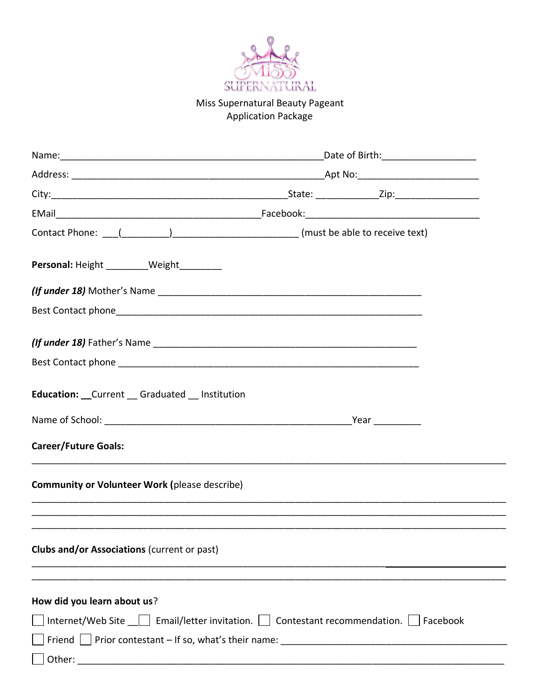

## Miss Supernatural Beauty Pageant **Application Package**

|                                                                                                     | _Date of Birth:______________________ |  |  |  |
|-----------------------------------------------------------------------------------------------------|---------------------------------------|--|--|--|
|                                                                                                     |                                       |  |  |  |
|                                                                                                     |                                       |  |  |  |
|                                                                                                     |                                       |  |  |  |
|                                                                                                     |                                       |  |  |  |
| Personal: Height _________Weight _________                                                          |                                       |  |  |  |
|                                                                                                     |                                       |  |  |  |
|                                                                                                     |                                       |  |  |  |
|                                                                                                     |                                       |  |  |  |
|                                                                                                     |                                       |  |  |  |
| <b>Education:</b> __Current __Graduated __Institution                                               |                                       |  |  |  |
|                                                                                                     |                                       |  |  |  |
| <b>Career/Future Goals:</b>                                                                         |                                       |  |  |  |
| <b>Community or Volunteer Work (please describe)</b>                                                |                                       |  |  |  |
|                                                                                                     |                                       |  |  |  |
| <b>Clubs and/or Associations (current or past)</b>                                                  |                                       |  |  |  |
|                                                                                                     |                                       |  |  |  |
| How did you learn about us?                                                                         |                                       |  |  |  |
| Internet/Web Site $\Box$ Email/letter invitation. $\Box$ Contestant recommendation. $\Box$ Facebook |                                       |  |  |  |
|                                                                                                     |                                       |  |  |  |
|                                                                                                     |                                       |  |  |  |